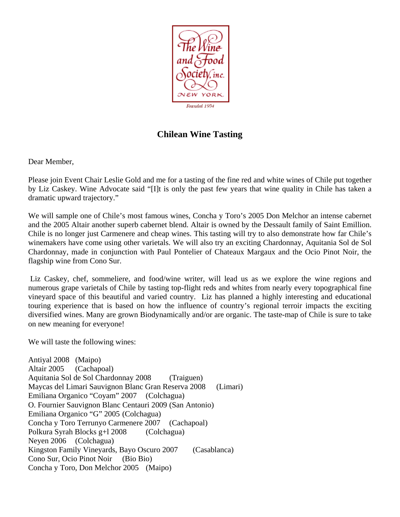

## **Chilean Wine Tasting**

Dear Member,

Please join Event Chair Leslie Gold and me for a tasting of the fine red and white wines of Chile put together by Liz Caskey. Wine Advocate said "[I]t is only the past few years that wine quality in Chile has taken a dramatic upward trajectory."

We will sample one of Chile's most famous wines, Concha y Toro's 2005 Don Melchor an intense cabernet and the 2005 Altair another superb cabernet blend. Altair is owned by the Dessault family of Saint Emillion. Chile is no longer just Carmenere and cheap wines. This tasting will try to also demonstrate how far Chile's winemakers have come using other varietals. We will also try an exciting Chardonnay, Aquitania Sol de Sol Chardonnay, made in conjunction with Paul Pontelier of Chateaux Margaux and the Ocio Pinot Noir, the flagship wine from Cono Sur.

 Liz Caskey, chef, sommeliere, and food/wine writer, will lead us as we explore the wine regions and numerous grape varietals of Chile by tasting top-flight reds and whites from nearly every topographical fine vineyard space of this beautiful and varied country. Liz has planned a highly interesting and educational touring experience that is based on how the influence of country's regional terroir impacts the exciting diversified wines. Many are grown Biodynamically and/or are organic. The taste-map of Chile is sure to take on new meaning for everyone!

We will taste the following wines:

Antiyal 2008 (Maipo) Altair 2005 (Cachapoal) Aquitania Sol de Sol Chardonnay 2008 (Traiguen) Maycas del Limari Sauvignon Blanc Gran Reserva 2008 (Limari) Emiliana Organico "Coyam" 2007 (Colchagua) O. Fournier Sauvignon Blanc Centauri 2009 (San Antonio) Emiliana Organico "G" 2005 (Colchagua) Concha y Toro Terrunyo Carmenere 2007 (Cachapoal) Polkura Syrah Blocks g+l 2008 (Colchagua) Neyen 2006 (Colchagua) Kingston Family Vineyards, Bayo Oscuro 2007 (Casablanca) Cono Sur, Ocio Pinot Noir (Bio Bio) Concha y Toro, Don Melchor 2005 (Maipo)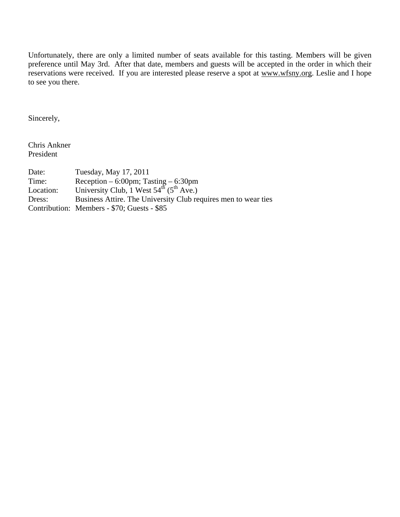Unfortunately, there are only a limited number of seats available for this tasting. Members will be given preference until May 3rd. After that date, members and guests will be accepted in the order in which their reservations were received. If you are interested please reserve a spot at www.wfsny.org. Leslie and I hope to see you there.

Sincerely,

Chris Ankner President

| Date:     | Tuesday, May 17, 2011                                              |
|-----------|--------------------------------------------------------------------|
| Time:     | Reception $-6:00 \text{pm}$ ; Tasting $-6:30 \text{pm}$            |
| Location: | University Club, $1$ West $54^{\text{th}}$ ( $5^{\text{th}}$ Ave.) |
| Dress:    | Business Attire. The University Club requires men to wear ties     |
|           | Contribution: Members - \$70; Guests - \$85                        |